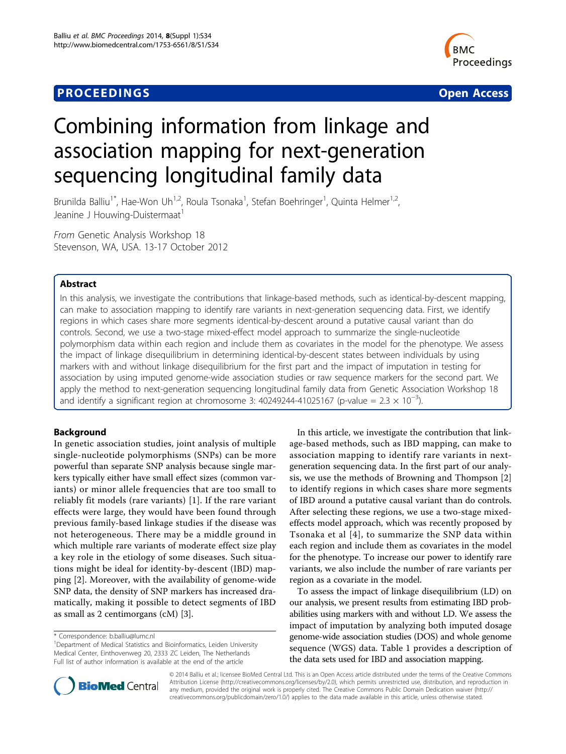# **PROCEEDINGS STATE SERVICE SERVICE SERVICE SERVICE SERVICE SERVICE SERVICE SERVICE SERVICE SERVICE SERVICE SERVICE SERVICE SERVICE SERVICE SERVICE SERVICE SERVICE SERVICE SERVICE SERVICE SERVICE SERVICE SERVICE SERVICE S**



# Combining information from linkage and association mapping for next-generation sequencing longitudinal family data

Brunilda Balliu<sup>1\*</sup>, Hae-Won Uh<sup>1,2</sup>, Roula Tsonaka<sup>1</sup>, Stefan Boehringer<sup>1</sup>, Quinta Helmer<sup>1,2</sup>, Jeanine J Houwing-Duistermaat<sup>1</sup>

From Genetic Analysis Workshop 18 Stevenson, WA, USA. 13-17 October 2012

# Abstract

In this analysis, we investigate the contributions that linkage-based methods, such as identical-by-descent mapping, can make to association mapping to identify rare variants in next-generation sequencing data. First, we identify regions in which cases share more segments identical-by-descent around a putative causal variant than do controls. Second, we use a two-stage mixed-effect model approach to summarize the single-nucleotide polymorphism data within each region and include them as covariates in the model for the phenotype. We assess the impact of linkage disequilibrium in determining identical-by-descent states between individuals by using markers with and without linkage disequilibrium for the first part and the impact of imputation in testing for association by using imputed genome-wide association studies or raw sequence markers for the second part. We apply the method to next-generation sequencing longitudinal family data from Genetic Association Workshop 18 and identify a significant region at chromosome 3: 40249244-41025167 (p-value = 2.3  $\times$  10<sup>-3</sup>).

# Background

In genetic association studies, joint analysis of multiple single-nucleotide polymorphisms (SNPs) can be more powerful than separate SNP analysis because single markers typically either have small effect sizes (common variants) or minor allele frequencies that are too small to reliably fit models (rare variants) [[1](#page-4-0)]. If the rare variant effects were large, they would have been found through previous family-based linkage studies if the disease was not heterogeneous. There may be a middle ground in which multiple rare variants of moderate effect size play a key role in the etiology of some diseases. Such situations might be ideal for identity-by-descent (IBD) mapping [[2\]](#page-4-0). Moreover, with the availability of genome-wide SNP data, the density of SNP markers has increased dramatically, making it possible to detect segments of IBD as small as 2 centimorgans (cM) [\[3](#page-4-0)].

In this article, we investigate the contribution that linkage-based methods, such as IBD mapping, can make to association mapping to identify rare variants in nextgeneration sequencing data. In the first part of our analysis, we use the methods of Browning and Thompson [\[2](#page-4-0)] to identify regions in which cases share more segments of IBD around a putative causal variant than do controls. After selecting these regions, we use a two-stage mixedeffects model approach, which was recently proposed by Tsonaka et al [[4](#page-4-0)], to summarize the SNP data within each region and include them as covariates in the model for the phenotype. To increase our power to identify rare variants, we also include the number of rare variants per region as a covariate in the model.

To assess the impact of linkage disequilibrium (LD) on our analysis, we present results from estimating IBD probabilities using markers with and without LD. We assess the impact of imputation by analyzing both imputed dosage genome-wide association studies (DOS) and whole genome sequence (WGS) data. Table [1](#page-1-0) provides a description of the data sets used for IBD and association mapping.



© 2014 Balliu et al.; licensee BioMed Central Ltd. This is an Open Access article distributed under the terms of the Creative Commons Attribution License [\(http://creativecommons.org/licenses/by/2.0](http://creativecommons.org/licenses/by/2.0)), which permits unrestricted use, distribution, and reproduction in any medium, provided the original work is properly cited. The Creative Commons Public Domain Dedication waiver [\(http://](http://creativecommons.org/publicdomain/zero/1.0/) [creativecommons.org/publicdomain/zero/1.0/](http://creativecommons.org/publicdomain/zero/1.0/)) applies to the data made available in this article, unless otherwise stated.

<sup>\*</sup> Correspondence: [b.balliu@lumc.nl](mailto:b.balliu@lumc.nl)

<sup>&</sup>lt;sup>1</sup>Department of Medical Statistics and Bioinformatics, Leiden University Medical Center, Einthovenweg 20, 2333 ZC Leiden, The Netherlands Full list of author information is available at the end of the article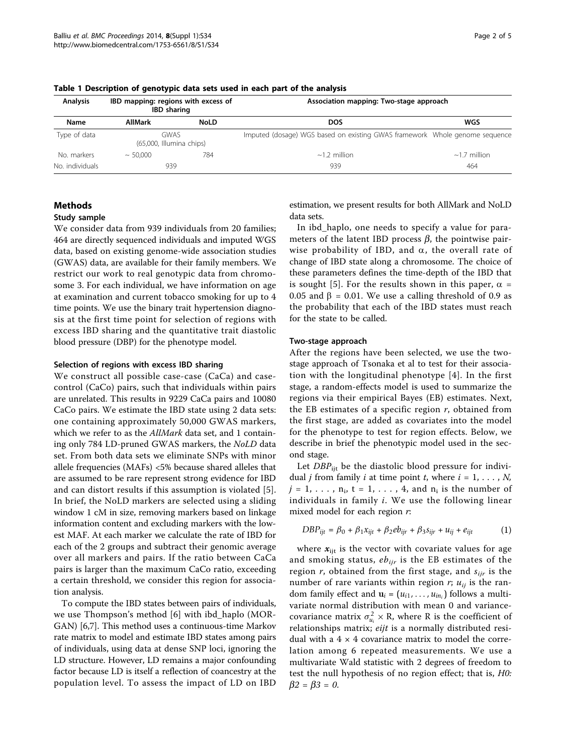| <b>Analysis</b> | IBD mapping: regions with excess of<br><b>IBD</b> sharing |             | Association mapping: Two-stage approach                                     |                    |  |  |
|-----------------|-----------------------------------------------------------|-------------|-----------------------------------------------------------------------------|--------------------|--|--|
| Name            | <b>AllMark</b>                                            | <b>NoLD</b> | <b>DOS</b>                                                                  | WGS                |  |  |
| Type of data    | <b>GWAS</b><br>(65,000, Illumina chips)                   |             | Imputed (dosage) WGS based on existing GWAS framework Whole genome sequence |                    |  |  |
| No. markers     | $~\sim 50,000$                                            | 784         | $\sim$ 1.2 million                                                          | $\sim$ 1.7 million |  |  |
| No. individuals | 939                                                       |             | 939                                                                         | 464                |  |  |

<span id="page-1-0"></span>Table 1 Description of genotypic data sets used in each part of the analysis

# Methods

## Study sample

We consider data from 939 individuals from 20 families; 464 are directly sequenced individuals and imputed WGS data, based on existing genome-wide association studies (GWAS) data, are available for their family members. We restrict our work to real genotypic data from chromosome 3. For each individual, we have information on age at examination and current tobacco smoking for up to 4 time points. We use the binary trait hypertension diagnosis at the first time point for selection of regions with excess IBD sharing and the quantitative trait diastolic blood pressure (DBP) for the phenotype model.

#### Selection of regions with excess IBD sharing

We construct all possible case-case (CaCa) and casecontrol (CaCo) pairs, such that individuals within pairs are unrelated. This results in 9229 CaCa pairs and 10080 CaCo pairs. We estimate the IBD state using 2 data sets: one containing approximately 50,000 GWAS markers, which we refer to as the AllMark data set, and 1 containing only 784 LD-pruned GWAS markers, the NoLD data set. From both data sets we eliminate SNPs with minor allele frequencies (MAFs) <5% because shared alleles that are assumed to be rare represent strong evidence for IBD and can distort results if this assumption is violated [[5](#page-4-0)]. In brief, the NoLD markers are selected using a sliding window 1 cM in size, removing markers based on linkage information content and excluding markers with the lowest MAF. At each marker we calculate the rate of IBD for each of the 2 groups and subtract their genomic average over all markers and pairs. If the ratio between CaCa pairs is larger than the maximum CaCo ratio, exceeding a certain threshold, we consider this region for association analysis.

To compute the IBD states between pairs of individuals, we use Thompson's method [\[6](#page-4-0)] with ibd\_haplo (MOR-GAN) [\[6,7](#page-4-0)]. This method uses a continuous-time Markov rate matrix to model and estimate IBD states among pairs of individuals, using data at dense SNP loci, ignoring the LD structure. However, LD remains a major confounding factor because LD is itself a reflection of coancestry at the population level. To assess the impact of LD on IBD

estimation, we present results for both AllMark and NoLD data sets.

In ibd\_haplo, one needs to specify a value for parameters of the latent IBD process  $\beta$ , the pointwise pairwise probability of IBD, and  $\alpha$ , the overall rate of change of IBD state along a chromosome. The choice of these parameters defines the time-depth of the IBD that is sought [\[5\]](#page-4-0). For the results shown in this paper,  $\alpha$  = 0.05 and  $\beta$  = 0.01. We use a calling threshold of 0.9 as the probability that each of the IBD states must reach for the state to be called.

#### Two-stage approach

After the regions have been selected, we use the twostage approach of Tsonaka et al to test for their association with the longitudinal phenotype [[4\]](#page-4-0). In the first stage, a random-effects model is used to summarize the regions via their empirical Bayes (EB) estimates. Next, the EB estimates of a specific region  $r$ , obtained from the first stage, are added as covariates into the model for the phenotype to test for region effects. Below, we describe in brief the phenotypic model used in the second stage.

Let  $DBP_{\text{iit}}$  be the diastolic blood pressure for individual *j* from family *i* at time point *t*, where  $i = 1, \ldots, N$ ,  $j = 1, \ldots, n_i$ ,  $t = 1, \ldots, 4$ , and  $n_i$  is the number of individuals in family  $i$ . We use the following linear mixed model for each region r:

$$
DBP_{ijt} = \beta_0 + \beta_1 x_{ijt} + \beta_2 e b_{ijr} + \beta_3 s_{ijr} + u_{ij} + e_{ijt}
$$
 (1)

where  $x_{ijt}$  is the vector with covariate values for age and smoking status,  $eb_{ijr}$  is the EB estimates of the region  $r$ , obtained from the first stage, and  $s_{ijr}$  is the number of rare variants within region r;  $u_{ii}$  is the random family effect and  $\mathbf{u}_i = (u_{i1}, \dots, u_{in_i})$  follows a multivariate normal distribution with mean 0 and variancecovariance matrix  $\sigma_{u_i}^2 \times R$ , where R is the coefficient of relationships matrix; eijt is a normally distributed residual with a  $4 \times 4$  covariance matrix to model the correlation among 6 repeated measurements. We use a multivariate Wald statistic with 2 degrees of freedom to test the null hypothesis of no region effect; that is, H0:  $\beta 2 = \beta 3 = 0.$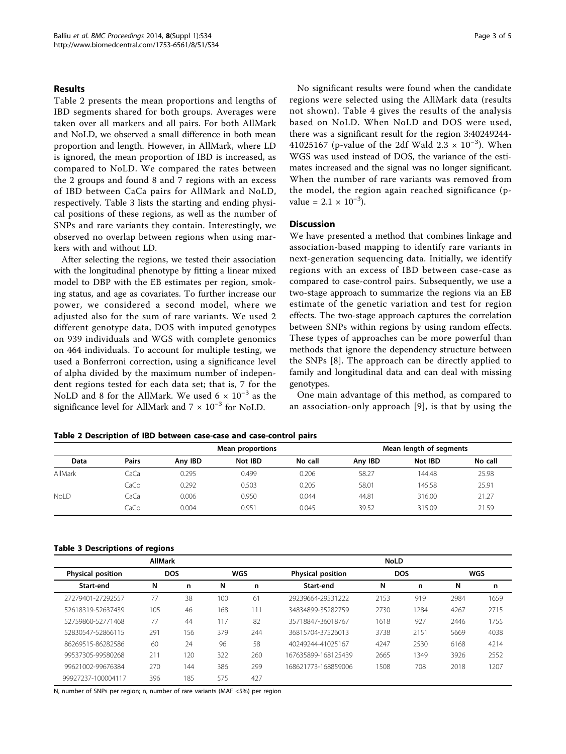### Results

Table 2 presents the mean proportions and lengths of IBD segments shared for both groups. Averages were taken over all markers and all pairs. For both AllMark and NoLD, we observed a small difference in both mean proportion and length. However, in AllMark, where LD is ignored, the mean proportion of IBD is increased, as compared to NoLD. We compared the rates between the 2 groups and found 8 and 7 regions with an excess of IBD between CaCa pairs for AllMark and NoLD, respectively. Table 3 lists the starting and ending physical positions of these regions, as well as the number of SNPs and rare variants they contain. Interestingly, we observed no overlap between regions when using markers with and without LD.

After selecting the regions, we tested their association with the longitudinal phenotype by fitting a linear mixed model to DBP with the EB estimates per region, smoking status, and age as covariates. To further increase our power, we considered a second model, where we adjusted also for the sum of rare variants. We used 2 different genotype data, DOS with imputed genotypes on 939 individuals and WGS with complete genomics on 464 individuals. To account for multiple testing, we used a Bonferroni correction, using a significance level of alpha divided by the maximum number of independent regions tested for each data set; that is, 7 for the NoLD and 8 for the AllMark. We used 6  $\times$  10<sup>-3</sup> as the significance level for AllMark and  $7 \times 10^{-3}$  for NoLD.

No significant results were found when the candidate regions were selected using the AllMark data (results not shown). Table [4](#page-3-0) gives the results of the analysis based on NoLD. When NoLD and DOS were used, there was a significant result for the region 3:40249244- 41025167 (p-value of the 2df Wald 2.3  $\times$  10<sup>-3</sup>). When WGS was used instead of DOS, the variance of the estimates increased and the signal was no longer significant. When the number of rare variants was removed from the model, the region again reached significance (pvalue =  $2.1 \times 10^{-3}$ ).

# Discussion

We have presented a method that combines linkage and association-based mapping to identify rare variants in next-generation sequencing data. Initially, we identify regions with an excess of IBD between case-case as compared to case-control pairs. Subsequently, we use a two-stage approach to summarize the regions via an EB estimate of the genetic variation and test for region effects. The two-stage approach captures the correlation between SNPs within regions by using random effects. These types of approaches can be more powerful than methods that ignore the dependency structure between the SNPs [[8](#page-4-0)]. The approach can be directly applied to family and longitudinal data and can deal with missing genotypes.

One main advantage of this method, as compared to an association-only approach [[9](#page-4-0)], is that by using the

| Table 2 Description of IBD between case-case and case-control pairs |  |  |
|---------------------------------------------------------------------|--|--|
|---------------------------------------------------------------------|--|--|

|             |              |         | Mean proportions | Mean length of segments |         |         |         |
|-------------|--------------|---------|------------------|-------------------------|---------|---------|---------|
| Data        | <b>Pairs</b> | Any IBD | Not IBD          | No call                 | Any IBD | Not IBD | No call |
| AllMark     | CaCa         | 0.295   | 0.499            | 0.206                   | 58.27   | 144.48  | 25.98   |
|             | CaCo         | 0.292   | 0.503            | 0.205                   | 58.01   | 145.58  | 25.91   |
| <b>NoLD</b> | CaCa         | 0.006   | 0.950            | 0.044                   | 44.81   | 316.00  | 21.27   |
|             | CaCo         | 0.004   | 0.951            | 0.045                   | 39.52   | 315.09  | 21.59   |

# Table 3 Descriptions of regions

|                          | <b>AllMark</b> |            |     |     | <b>NoLD</b>              |      |            |      |      |
|--------------------------|----------------|------------|-----|-----|--------------------------|------|------------|------|------|
| <b>Physical position</b> |                | <b>DOS</b> |     | WGS | <b>Physical position</b> |      | <b>DOS</b> |      | WGS  |
| Start-end                | N              | n          | N   | n   | Start-end                | N    | n          | N    | n    |
| 27279401-27292557        | 77             | 38         | 100 | 61  | 29239664-29531222        | 2153 | 919        | 2984 | 1659 |
| 52618319-52637439        | 105            | 46         | 168 | 111 | 34834899-35282759        | 2730 | 1284       | 4267 | 2715 |
| 52759860-52771468        | 77             | 44         | 117 | 82  | 35718847-36018767        | 1618 | 927        | 2446 | 1755 |
| 52830547-52866115        | 291            | 156        | 379 | 244 | 36815704-37526013        | 3738 | 2151       | 5669 | 4038 |
| 86269515-86282586        | 60             | 24         | 96  | 58  | 40249244-41025167        | 4247 | 2530       | 6168 | 4214 |
| 99537305-99580268        | 211            | 20         | 322 | 260 | 167635899-168125439      | 2665 | 1349       | 3926 | 2552 |
| 99621002-99676384        | 270            | 144        | 386 | 299 | 168621773-168859006      | 1508 | 708        | 2018 | 1207 |
| 99927237-100004117       | 396            | 185        | 575 | 427 |                          |      |            |      |      |

N, number of SNPs per region; n, number of rare variants (MAF <5%) per region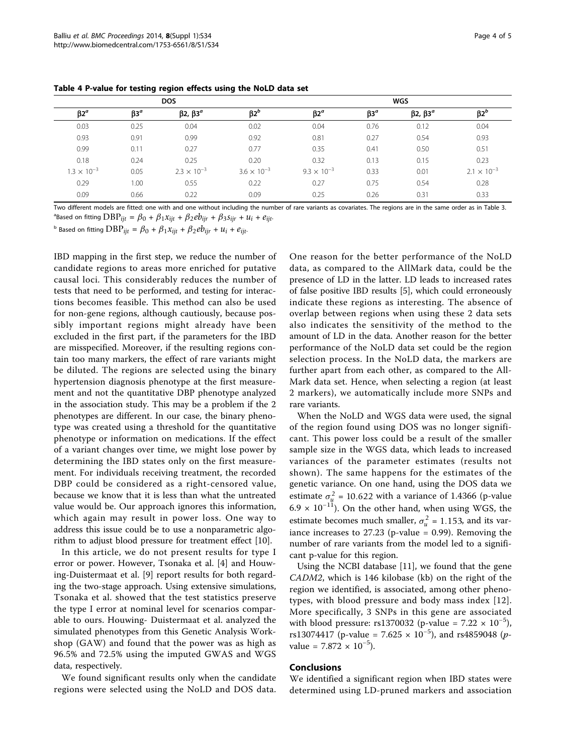|                        |        | <b>DOS</b>           |                        | <b>WGS</b>                          |                        |                     |                        |
|------------------------|--------|----------------------|------------------------|-------------------------------------|------------------------|---------------------|------------------------|
| $\beta$ 2 <sup>a</sup> | $B3^a$ | β2, β3 <sup>a</sup>  | $\beta$ 2 <sup>b</sup> | $\beta$ 2 <sup><math>a</math></sup> | $\beta$ 3 <sup>a</sup> | β2, β3 <sup>a</sup> | $\beta$ 2 <sup>b</sup> |
| 0.03                   | 0.25   | 0.04                 | 0.02                   | 0.04                                | 0.76                   | 0.12                | 0.04                   |
| 0.93                   | 0.91   | 0.99                 | 0.92                   | 0.81                                | 0.27                   | 0.54                | 0.93                   |
| 0.99                   | 0.11   | 0.27                 | 0.77                   | 0.35                                | 0.41                   | 0.50                | 0.51                   |
| 0.18                   | 0.24   | 0.25                 | 0.20                   | 0.32                                | 0.13                   | 0.15                | 0.23                   |
| $1.3 \times 10^{-3}$   | 0.05   | $2.3 \times 10^{-3}$ | $3.6 \times 10^{-3}$   | $9.3 \times 10^{-3}$                | 0.33                   | 0.01                | $2.1 \times 10^{-3}$   |
| 0.29                   | 1.00   | 0.55                 | 0.22                   | 0.27                                | 0.75                   | 0.54                | 0.28                   |
| 0.09                   | 0.66   | 0.22                 | 0.09                   | 0.25                                | 0.26                   | 0.31                | 0.33                   |

<span id="page-3-0"></span>Table 4 P-value for testing region effects using the NoLD data set

Two different models are fitted: one with and one without including the number of rare variants as covariates. The regions are in the same order as in Table 3.  $a^a$ Based on fitting  $DBP_{ijt} = \beta_0 + \beta_1 x_{ijt} + \beta_2 e b_{ijr} + \beta_3 s_{ijr} + u_i + e_{ijt}$ .

<sup>b</sup> Based on fitting  $DBP_{ijt} = \beta_0 + \beta_1 x_{ijt} + \beta_2 e_{ijt} + u_i + e_{ijt}$ .

IBD mapping in the first step, we reduce the number of candidate regions to areas more enriched for putative causal loci. This considerably reduces the number of tests that need to be performed, and testing for interactions becomes feasible. This method can also be used for non-gene regions, although cautiously, because possibly important regions might already have been excluded in the first part, if the parameters for the IBD are misspecified. Moreover, if the resulting regions contain too many markers, the effect of rare variants might be diluted. The regions are selected using the binary hypertension diagnosis phenotype at the first measurement and not the quantitative DBP phenotype analyzed in the association study. This may be a problem if the 2 phenotypes are different. In our case, the binary phenotype was created using a threshold for the quantitative phenotype or information on medications. If the effect of a variant changes over time, we might lose power by determining the IBD states only on the first measurement. For individuals receiving treatment, the recorded DBP could be considered as a right-censored value, because we know that it is less than what the untreated value would be. Our approach ignores this information, which again may result in power loss. One way to address this issue could be to use a nonparametric algorithm to adjust blood pressure for treatment effect [\[10](#page-4-0)].

In this article, we do not present results for type I error or power. However, Tsonaka et al. [[4\]](#page-4-0) and Houwing-Duistermaat et al. [\[9](#page-4-0)] report results for both regarding the two-stage approach. Using extensive simulations, Tsonaka et al. showed that the test statistics preserve the type I error at nominal level for scenarios comparable to ours. Houwing- Duistermaat et al. analyzed the simulated phenotypes from this Genetic Analysis Workshop (GAW) and found that the power was as high as 96.5% and 72.5% using the imputed GWAS and WGS data, respectively.

We found significant results only when the candidate regions were selected using the NoLD and DOS data.

One reason for the better performance of the NoLD data, as compared to the AllMark data, could be the presence of LD in the latter. LD leads to increased rates of false positive IBD results [\[5\]](#page-4-0), which could erroneously indicate these regions as interesting. The absence of overlap between regions when using these 2 data sets also indicates the sensitivity of the method to the amount of LD in the data. Another reason for the better performance of the NoLD data set could be the region selection process. In the NoLD data, the markers are further apart from each other, as compared to the All-Mark data set. Hence, when selecting a region (at least 2 markers), we automatically include more SNPs and rare variants.

When the NoLD and WGS data were used, the signal of the region found using DOS was no longer significant. This power loss could be a result of the smaller sample size in the WGS data, which leads to increased variances of the parameter estimates (results not shown). The same happens for the estimates of the genetic variance. On one hand, using the DOS data we estimate  $\sigma_u^2$  = 10.622 with a variance of 1.4366 (p-value 6.9 × 10<sup>-11</sup>). On the other hand, when using WGS, the estimate becomes much smaller,  $\sigma_u^2 = 1.153$ , and its variance increases to  $27.23$  (p-value = 0.99). Removing the number of rare variants from the model led to a significant p-value for this region.

Using the NCBI database [[11\]](#page-4-0), we found that the gene CADM2, which is 146 kilobase (kb) on the right of the region we identified, is associated, among other phenotypes, with blood pressure and body mass index [[12](#page-4-0)]. More specifically, 3 SNPs in this gene are associated with blood pressure: rs1370032 (p-value =  $7.22 \times 10^{-5}$ ), rs13074417 (p-value = 7.625  $\times$  10<sup>-5</sup>), and rs4859048 (pvalue =  $7.872 \times 10^{-5}$ ).

# Conclusions

We identified a significant region when IBD states were determined using LD-pruned markers and association